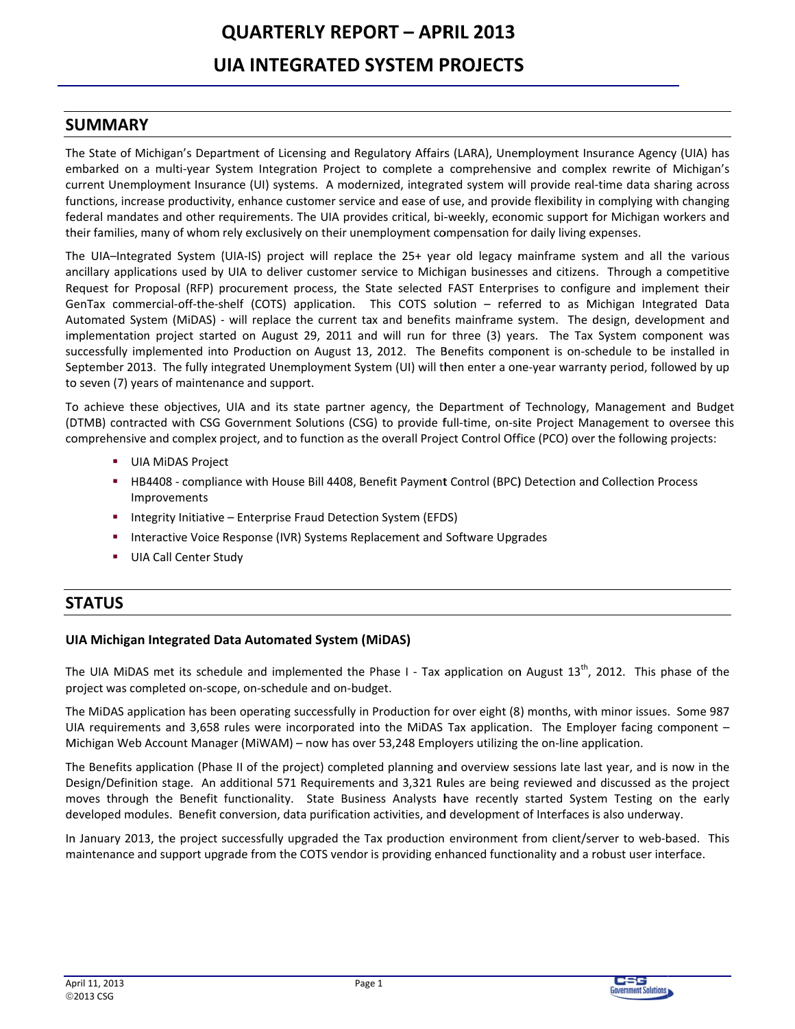# **QUARTERLY REPORT - APRIL 2013 UIA INTEGRATED SYSTEM PROJECTS**

## **SUMMARY**

The State of Michigan's Department of Licensing and Regulatory Affairs (LARA), Unemployment Insurance Agency (UIA) has embarked on a multi-year System Integration Project to complete a comprehensive and complex rewrite of Michigan's current Unemployment Insurance (UI) systems. A modernized, integrated system will provide real-time data sharing across functions, increase productivity, enhance customer service and ease of use, and provide flexibility in complying with changing federal mandates and other requirements. The UIA provides critical, bi-weekly, economic support for Michigan workers and their families, many of whom rely exclusively on their unemployment compensation for daily living expenses.

The UIA-Integrated System (UIA-IS) project will replace the 25+ year old legacy mainframe system and all the various ancillary applications used by UIA to deliver customer service to Michigan businesses and citizens. Through a competitive Request for Proposal (RFP) procurement process, the State selected FAST Enterprises to configure and implement their GenTax commercial-off-the-shelf (COTS) application. This COTS solution - referred to as Michigan Integrated Data Automated System (MiDAS) - will replace the current tax and benefits mainframe system. The design, development and implementation project started on August 29, 2011 and will run for three (3) years. The Tax System component was successfully implemented into Production on August 13, 2012. The Benefits component is on-schedule to be installed in September 2013. The fully integrated Unemployment System (UI) will then enter a one-year warranty period, followed by up to seven (7) years of maintenance and support.

To achieve these objectives, UIA and its state partner agency, the Department of Technology, Management and Budget (DTMB) contracted with CSG Government Solutions (CSG) to provide full-time, on-site Project Management to oversee this comprehensive and complex project, and to function as the overall Project Control Office (PCO) over the following projects:

- UIA MIDAS Project
- **EXECUTE:** HB4408 compliance with House Bill 4408, Benefit Payment Control (BPC) Detection and Collection Process Improvements
- " Integrity Initiative Enterprise Fraud Detection System (EFDS)
- Interactive Voice Response (IVR) Systems Replacement and Software Upgrades
- **UIA Call Center Study**  $\mathcal{L}_{\mathcal{A}}$

# **STATUS**

## UIA Michigan Integrated Data Automated System (MiDAS)

The UIA MiDAS met its schedule and implemented the Phase I - Tax application on August  $13^{th}$ , 2012. This phase of the project was completed on-scope, on-schedule and on-budget.

The MiDAS application has been operating successfully in Production for over eight (8) months, with minor issues. Some 987 UIA requirements and 3,658 rules were incorporated into the MiDAS Tax application. The Employer facing component -Michigan Web Account Manager (MiWAM) – now has over 53,248 Employers utilizing the on-line application.

The Benefits application (Phase II of the project) completed planning and overview sessions late last year, and is now in the Design/Definition stage. An additional 571 Requirements and 3,321 Rules are being reviewed and discussed as the project moves through the Benefit functionality. State Business Analysts have recently started System Testing on the early developed modules. Benefit conversion, data purification activities, and development of Interfaces is also underway.

In January 2013, the project successfully upgraded the Tax production environment from client/server to web-based. This maintenance and support upgrade from the COTS vendor is providing enhanced functionality and a robust user interface.